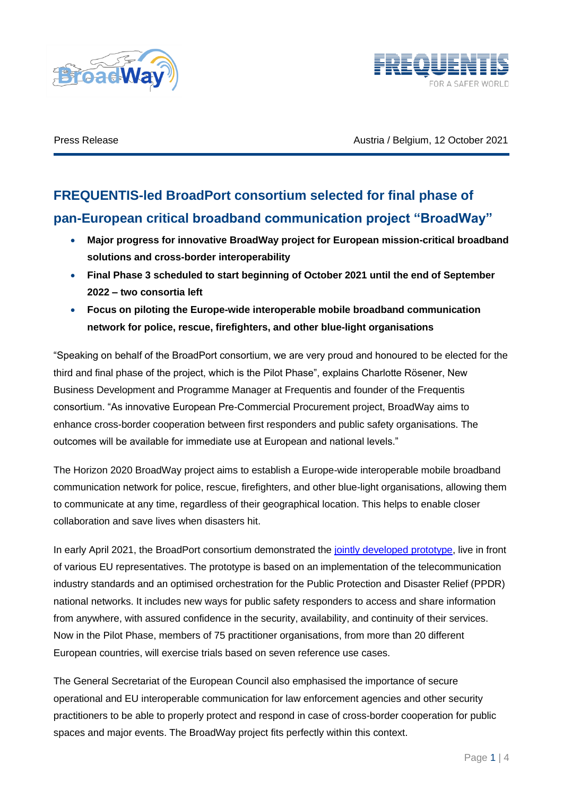



Press Release **Austria / Belgium, 12 October 2021** 

# **FREQUENTIS-led BroadPort consortium selected for final phase of pan-European critical broadband communication project "BroadWay"**

- **Major progress for innovative BroadWay project for European mission-critical broadband solutions and cross-border interoperability**
- **Final Phase 3 scheduled to start beginning of October 2021 until the end of September 2022 – two consortia left**
- **Focus on piloting the Europe-wide interoperable mobile broadband communication network for police, rescue, firefighters, and other blue-light organisations**

"Speaking on behalf of the BroadPort consortium, we are very proud and honoured to be elected for the third and final phase of the project, which is the Pilot Phase", explains Charlotte Rösener, New Business Development and Programme Manager at Frequentis and founder of the Frequentis consortium. "As innovative European Pre-Commercial Procurement project, BroadWay aims to enhance cross-border cooperation between first responders and public safety organisations. The outcomes will be available for immediate use at European and national levels."

The Horizon 2020 BroadWay project aims to establish a Europe-wide interoperable mobile broadband communication network for police, rescue, firefighters, and other blue-light organisations, allowing them to communicate at any time, regardless of their geographical location. This helps to enable closer collaboration and save lives when disasters hit.

In early April 2021, the BroadPort consortium demonstrated the [jointly developed prototype,](https://www.frequentis.com/sites/default/files/pr/2021-09/20210915_FREQUENTIS_BroadWay_EN.pdf) live in front of various EU representatives. The prototype is based on an implementation of the telecommunication industry standards and an optimised orchestration for the Public Protection and Disaster Relief (PPDR) national networks. It includes new ways for public safety responders to access and share information from anywhere, with assured confidence in the security, availability, and continuity of their services. Now in the Pilot Phase, members of 75 practitioner organisations, from more than 20 different European countries, will exercise trials based on seven reference use cases.

The General Secretariat of the European Council also emphasised the importance of secure operational and EU interoperable communication for law enforcement agencies and other security practitioners to be able to properly protect and respond in case of cross-border cooperation for public spaces and major events. The BroadWay project fits perfectly within this context.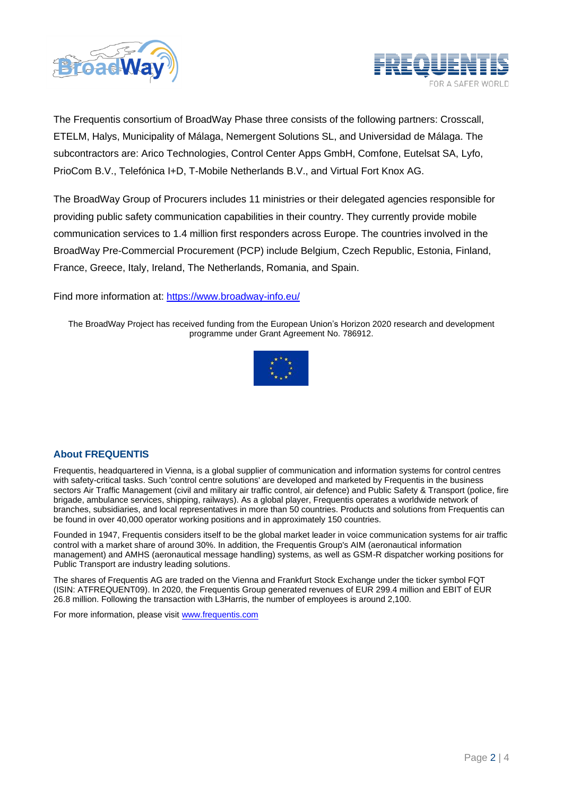



The Frequentis consortium of BroadWay Phase three consists of the following partners: Crosscall, ETELM, Halys, Municipality of Málaga, Nemergent Solutions SL, and Universidad de Málaga. The subcontractors are: Arico Technologies, Control Center Apps GmbH, Comfone, Eutelsat SA, Lyfo, PrioCom B.V., Telefónica I+D, T-Mobile Netherlands B.V., and Virtual Fort Knox AG.

The BroadWay Group of Procurers includes 11 ministries or their delegated agencies responsible for providing public safety communication capabilities in their country. They currently provide mobile communication services to 1.4 million first responders across Europe. The countries involved in the BroadWay Pre-Commercial Procurement (PCP) include Belgium, Czech Republic, Estonia, Finland, France, Greece, Italy, Ireland, The Netherlands, Romania, and Spain.

Find more information at:<https://www.broadway-info.eu/>

The BroadWay Project has received funding from the European Union's Horizon 2020 research and development programme under Grant Agreement No. 786912.



# **About FREQUENTIS**

Frequentis, headquartered in Vienna, is a global supplier of communication and information systems for control centres with safety-critical tasks. Such 'control centre solutions' are developed and marketed by Frequentis in the business sectors Air Traffic Management (civil and military air traffic control, air defence) and Public Safety & Transport (police, fire brigade, ambulance services, shipping, railways). As a global player, Frequentis operates a worldwide network of branches, subsidiaries, and local representatives in more than 50 countries. Products and solutions from Frequentis can be found in over 40,000 operator working positions and in approximately 150 countries.

Founded in 1947, Frequentis considers itself to be the global market leader in voice communication systems for air traffic control with a market share of around 30%. In addition, the Frequentis Group's AIM (aeronautical information management) and AMHS (aeronautical message handling) systems, as well as GSM-R dispatcher working positions for Public Transport are industry leading solutions.

The shares of Frequentis AG are traded on the Vienna and Frankfurt Stock Exchange under the ticker symbol FQT (ISIN: ATFREQUENT09). In 2020, the Frequentis Group generated revenues of EUR 299.4 million and EBIT of EUR 26.8 million. Following the transaction with L3Harris, the number of employees is around 2,100.

For more information, please visit [www.frequentis.com](http://www.frequentis.com/)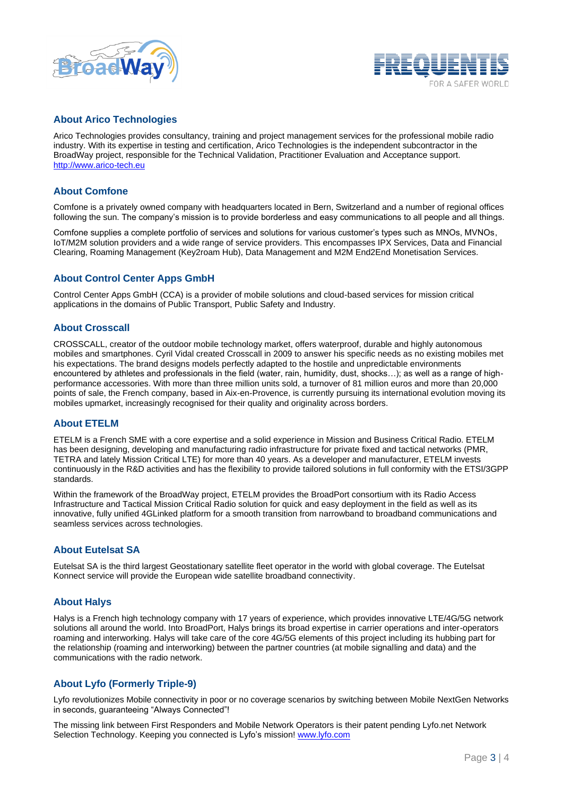



#### **About Arico Technologies**

Arico Technologies provides consultancy, training and project management services for the professional mobile radio industry. With its expertise in testing and certification, Arico Technologies is the independent subcontractor in the BroadWay project, responsible for the Technical Validation, Practitioner Evaluation and Acceptance support. [http://www.arico-tech.eu](http://www.arico-tech.eu/)

#### **About Comfone**

Comfone is a privately owned company with headquarters located in Bern, Switzerland and a number of regional offices following the sun. The company's mission is to provide borderless and easy communications to all people and all things.

Comfone supplies a complete portfolio of services and solutions for various customer's types such as MNOs, MVNOs, IoT/M2M solution providers and a wide range of service providers. This encompasses IPX Services, Data and Financial Clearing, Roaming Management (Key2roam Hub), Data Management and M2M End2End Monetisation Services.

# **About Control Center Apps GmbH**

Control Center Apps GmbH (CCA) is a provider of mobile solutions and cloud-based services for mission critical applications in the domains of Public Transport, Public Safety and Industry.

#### **About Crosscall**

CROSSCALL, creator of the outdoor mobile technology market, offers waterproof, durable and highly autonomous mobiles and smartphones. Cyril Vidal created Crosscall in 2009 to answer his specific needs as no existing mobiles met his expectations. The brand designs models perfectly adapted to the hostile and unpredictable environments encountered by athletes and professionals in the field (water, rain, humidity, dust, shocks…); as well as a range of highperformance accessories. With more than three million units sold, a turnover of 81 million euros and more than 20,000 points of sale, the French company, based in Aix-en-Provence, is currently pursuing its international evolution moving its mobiles upmarket, increasingly recognised for their quality and originality across borders.

#### **About ETELM**

ETELM is a French SME with a core expertise and a solid experience in Mission and Business Critical Radio. ETELM has been designing, developing and manufacturing radio infrastructure for private fixed and tactical networks (PMR, TETRA and lately Mission Critical LTE) for more than 40 years. As a developer and manufacturer, ETELM invests continuously in the R&D activities and has the flexibility to provide tailored solutions in full conformity with the ETSI/3GPP standards.

Within the framework of the BroadWay project, ETELM provides the BroadPort consortium with its Radio Access Infrastructure and Tactical Mission Critical Radio solution for quick and easy deployment in the field as well as its innovative, fully unified 4GLinked platform for a smooth transition from narrowband to broadband communications and seamless services across technologies.

#### **About Eutelsat SA**

Eutelsat SA is the third largest Geostationary satellite fleet operator in the world with global coverage. The Eutelsat Konnect service will provide the European wide satellite broadband connectivity.

#### **About Halys**

Halys is a French high technology company with 17 years of experience, which provides innovative LTE/4G/5G network solutions all around the world. Into BroadPort, Halys brings its broad expertise in carrier operations and inter-operators roaming and interworking. Halys will take care of the core 4G/5G elements of this project including its hubbing part for the relationship (roaming and interworking) between the partner countries (at mobile signalling and data) and the communications with the radio network.

#### **About Lyfo (Formerly Triple-9)**

Lyfo revolutionizes Mobile connectivity in poor or no coverage scenarios by switching between Mobile NextGen Networks in seconds, guaranteeing "Always Connected"!

The missing link between First Responders and Mobile Network Operators is their patent pending Lyfo.net Network Selection Technology. Keeping you connected is Lyfo's mission! [www.lyfo.com](http://www.lyfo.com/)